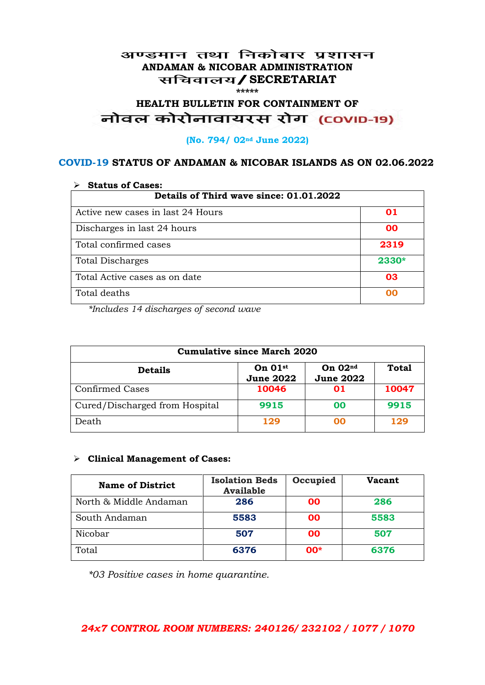#### अण्डमान तथा निकोबार प्रशासन **ANDAMAN & NICOBAR ADMINISTRATION /SECRETARIAT \*\*\*\*\***

# HEALTH BULLETIN FOR CONTAINMENT OF<br>बोवल कोरोनावायरस रोग (COVID-19)

#### **(No. 794/ 02nd June 2022)**

#### **COVID-19 STATUS OF ANDAMAN & NICOBAR ISLANDS AS ON 02.06.2022**

| <b>Status of Cases:</b>                 |       |  |
|-----------------------------------------|-------|--|
| Details of Third wave since: 01.01.2022 |       |  |
| Active new cases in last 24 Hours       | 01    |  |
| Discharges in last 24 hours             | 00    |  |
| Total confirmed cases                   | 2319  |  |
| <b>Total Discharges</b>                 | 2330* |  |
| Total Active cases as on date           | 03    |  |
| Total deaths                            | OO    |  |

*\*Includes 14 discharges of second wave*

| <b>Cumulative since March 2020</b> |                                           |                               |              |
|------------------------------------|-------------------------------------------|-------------------------------|--------------|
| <b>Details</b>                     | On $01$ <sup>st</sup><br><b>June 2022</b> | On $02nd$<br><b>June 2022</b> | <b>Total</b> |
| <b>Confirmed Cases</b>             | 10046                                     | 01                            | 10047        |
| Cured/Discharged from Hospital     | 9915                                      | 00                            | 9915         |
| Death                              | 129                                       | ററ                            | 129          |

#### **Clinical Management of Cases:**

| <b>Name of District</b> | <b>Isolation Beds</b><br><b>Available</b> | Occupied  | Vacant |
|-------------------------|-------------------------------------------|-----------|--------|
| North & Middle Andaman  | 286                                       | <b>OO</b> | 286    |
| South Andaman           | 5583                                      | <b>OO</b> | 5583   |
| Nicobar                 | 507                                       | <b>OO</b> | 507    |
| Total                   | 6376                                      | $00*$     | 6376   |

*\*03 Positive cases in home quarantine.*

#### *24x7 CONTROL ROOM NUMBERS: 240126/ 232102 / 1077 / 1070*